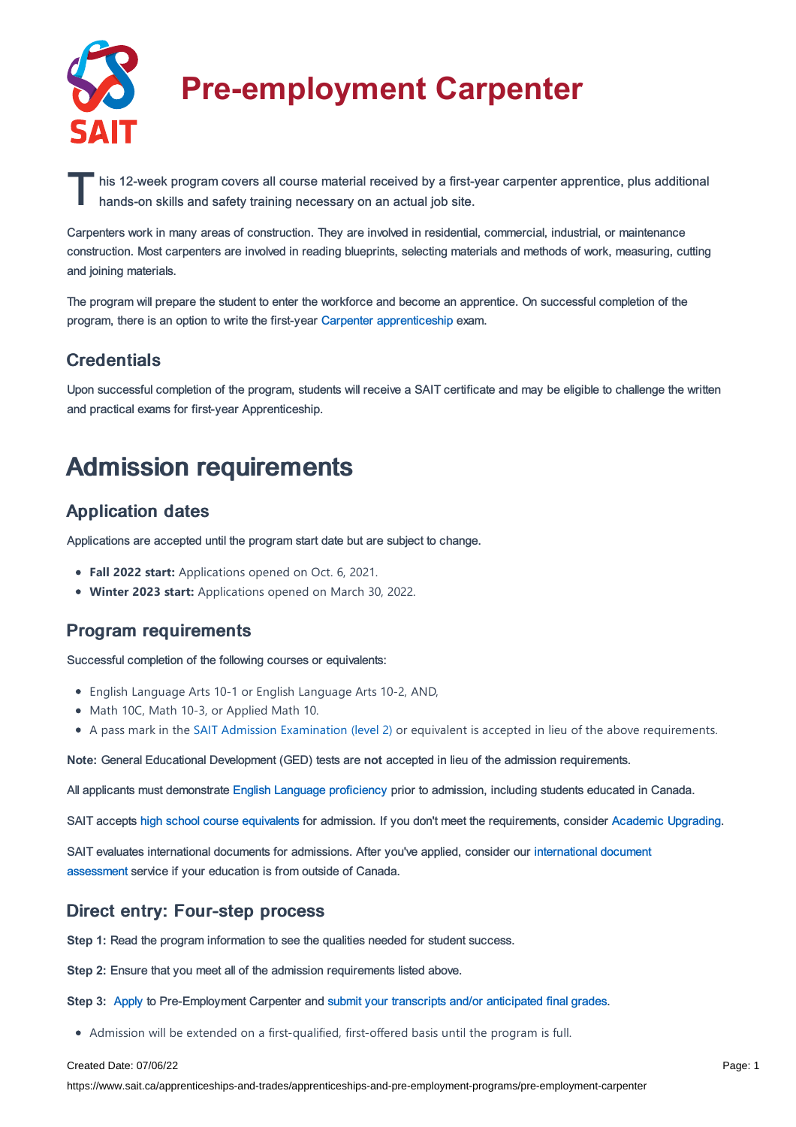

# **Pre-employment Carpenter**

his 12-week program covers all course material received by a first-year carpenter apprentice, plus additional<br>hands-on skills and safety training necessary on an actual job site. hands-on skills and safety training necessary on an actual job site.

Carpenters work in many areas of construction. They are involved in residential, commercial, industrial, or maintenance construction. Most carpenters are involved in reading blueprints, selecting materials and methods of work, measuring, cutting and joining materials.

The program will prepare the student to enter the workforce and become an apprentice. On successful completion of the program, there is an option to write the first-year Carpenter [apprenticeship](https://www.sait.ca/apprenticeships-and-trades/apprenticeships-and-pre-employment-programs/carpenter) exam.

### **Credentials**

Upon successful completion of the program, students will receive a SAIT certificate and may be eligible to challenge the written and practical exams for first-year Apprenticeship.

# Admission requirements

### Application dates

Applications are accepted until the program start date but are subject to change.

- **Fall 2022 start:** Applications opened on Oct. 6, 2021.
- **Winter 2023 start:** Applications opened on March 30, 2022.

### Program requirements

Successful completion of the following courses or equivalents:

- English Language Arts 10-1 or English Language Arts 10-2, AND,
- Math 10C, Math 10-3, or Applied Math 10.
- A pass mark in the SAIT Admission [Examination](https://www.sait.ca/student-life/learner-services/testing-services) (level 2) or equivalent is accepted in lieu of the above requirements.

**Note:** General Educational Development (GED) tests are **not** accepted in lieu of the admission requirements.

All applicants must demonstrate English Language [proficiency](https://www.sait.ca/admissions/before-you-apply/english-proficiency) prior to admission, including students educated in Canada.

SAIT accepts high school course [equivalents](https://www.sait.ca/admissions/before-you-apply/high-school-course-equivalencies) for admission. If you don't meet the requirements, consider Academic [Upgrading.](https://www.sait.ca/programs-and-courses/academic-upgrading)

SAIT evaluates [international](https://www.sait.ca/admissions/after-you-apply/international-document-assessment) documents for admissions. After you've applied, consider our international document assessment service if your education is from outside of Canada.

### Direct entry: Four-step process

**Step 1:** Read the program information to see the qualities needed for student success.

**Step 2:** Ensure that you meet all of the admission requirements listed above.

**Step 3:** [Apply](https://www.sait.ca/admissions/apply) to Pre-Employment Carpenter and submit your transcripts and/or [anticipated](https://www.sait.ca/admissions/after-you-apply/transcripts-and-supporting-documents) final grades.

Admission will be extended on a first-qualified, first-offered basis until the program is full.